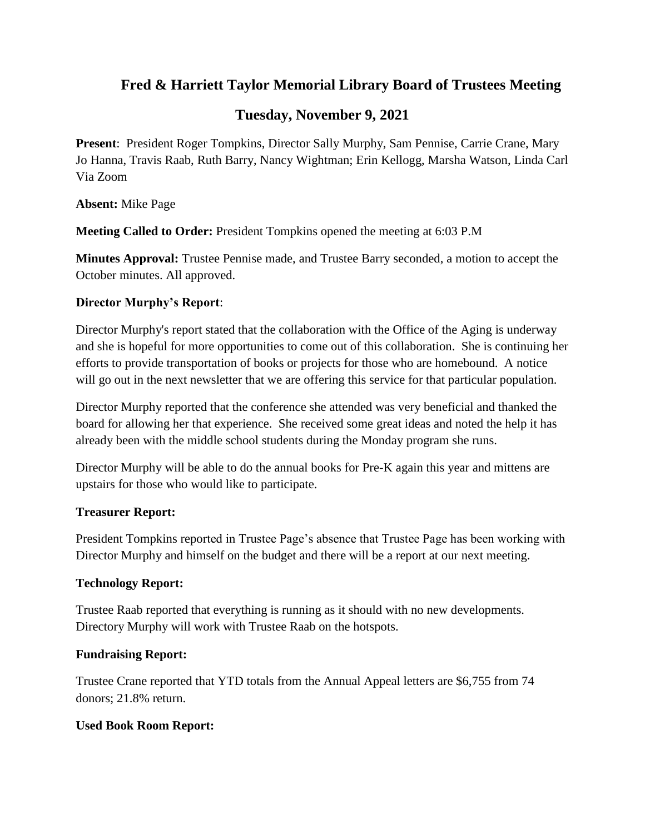# **Fred & Harriett Taylor Memorial Library Board of Trustees Meeting**

## **Tuesday, November 9, 2021**

**Present**: President Roger Tompkins, Director Sally Murphy, Sam Pennise, Carrie Crane, Mary Jo Hanna, Travis Raab, Ruth Barry, Nancy Wightman; Erin Kellogg, Marsha Watson, Linda Carl Via Zoom

**Absent:** Mike Page

**Meeting Called to Order:** President Tompkins opened the meeting at 6:03 P.M

**Minutes Approval:** Trustee Pennise made, and Trustee Barry seconded, a motion to accept the October minutes. All approved.

### **Director Murphy's Report**:

Director Murphy's report stated that the collaboration with the Office of the Aging is underway and she is hopeful for more opportunities to come out of this collaboration. She is continuing her efforts to provide transportation of books or projects for those who are homebound. A notice will go out in the next newsletter that we are offering this service for that particular population.

Director Murphy reported that the conference she attended was very beneficial and thanked the board for allowing her that experience. She received some great ideas and noted the help it has already been with the middle school students during the Monday program she runs.

Director Murphy will be able to do the annual books for Pre-K again this year and mittens are upstairs for those who would like to participate.

### **Treasurer Report:**

President Tompkins reported in Trustee Page's absence that Trustee Page has been working with Director Murphy and himself on the budget and there will be a report at our next meeting.

### **Technology Report:**

Trustee Raab reported that everything is running as it should with no new developments. Directory Murphy will work with Trustee Raab on the hotspots.

### **Fundraising Report:**

Trustee Crane reported that YTD totals from the Annual Appeal letters are \$6,755 from 74 donors; 21.8% return.

## **Used Book Room Report:**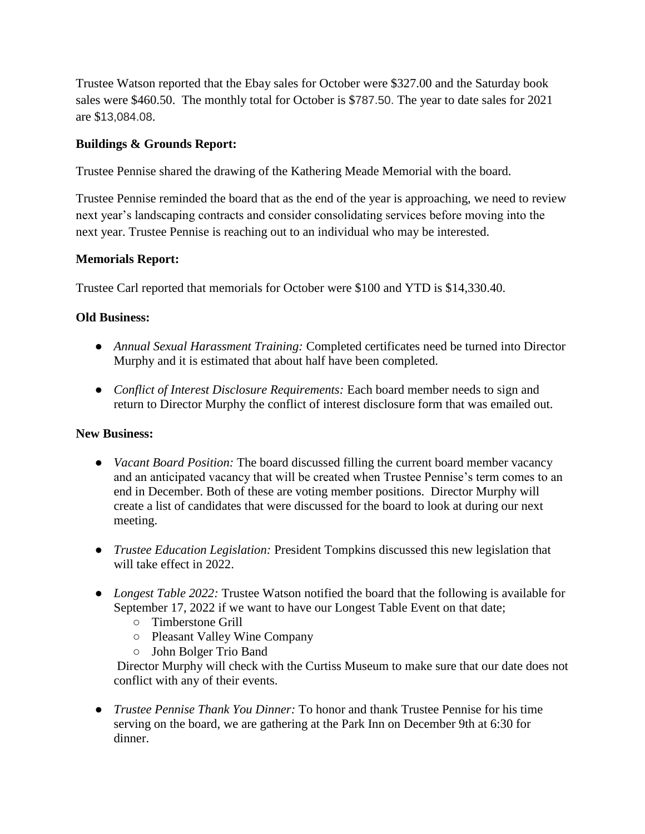Trustee Watson reported that the Ebay sales for October were \$327.00 and the Saturday book sales were \$460.50. The monthly total for October is \$787.50. The year to date sales for 2021 are \$13,084.08.

### **Buildings & Grounds Report:**

Trustee Pennise shared the drawing of the Kathering Meade Memorial with the board.

Trustee Pennise reminded the board that as the end of the year is approaching, we need to review next year's landscaping contracts and consider consolidating services before moving into the next year. Trustee Pennise is reaching out to an individual who may be interested.

### **Memorials Report:**

Trustee Carl reported that memorials for October were \$100 and YTD is \$14,330.40.

### **Old Business:**

- *Annual Sexual Harassment Training:* Completed certificates need be turned into Director Murphy and it is estimated that about half have been completed.
- *Conflict of Interest Disclosure Requirements:* Each board member needs to sign and return to Director Murphy the conflict of interest disclosure form that was emailed out.

### **New Business:**

- *Vacant Board Position:* The board discussed filling the current board member vacancy and an anticipated vacancy that will be created when Trustee Pennise's term comes to an end in December. Both of these are voting member positions. Director Murphy will create a list of candidates that were discussed for the board to look at during our next meeting.
- *Trustee Education Legislation:* President Tompkins discussed this new legislation that will take effect in 2022.
- *Longest Table 2022:* Trustee Watson notified the board that the following is available for September 17, 2022 if we want to have our Longest Table Event on that date;
	- Timberstone Grill
	- Pleasant Valley Wine Company
	- John Bolger Trio Band

Director Murphy will check with the Curtiss Museum to make sure that our date does not conflict with any of their events.

● *Trustee Pennise Thank You Dinner:* To honor and thank Trustee Pennise for his time serving on the board, we are gathering at the Park Inn on December 9th at 6:30 for dinner.